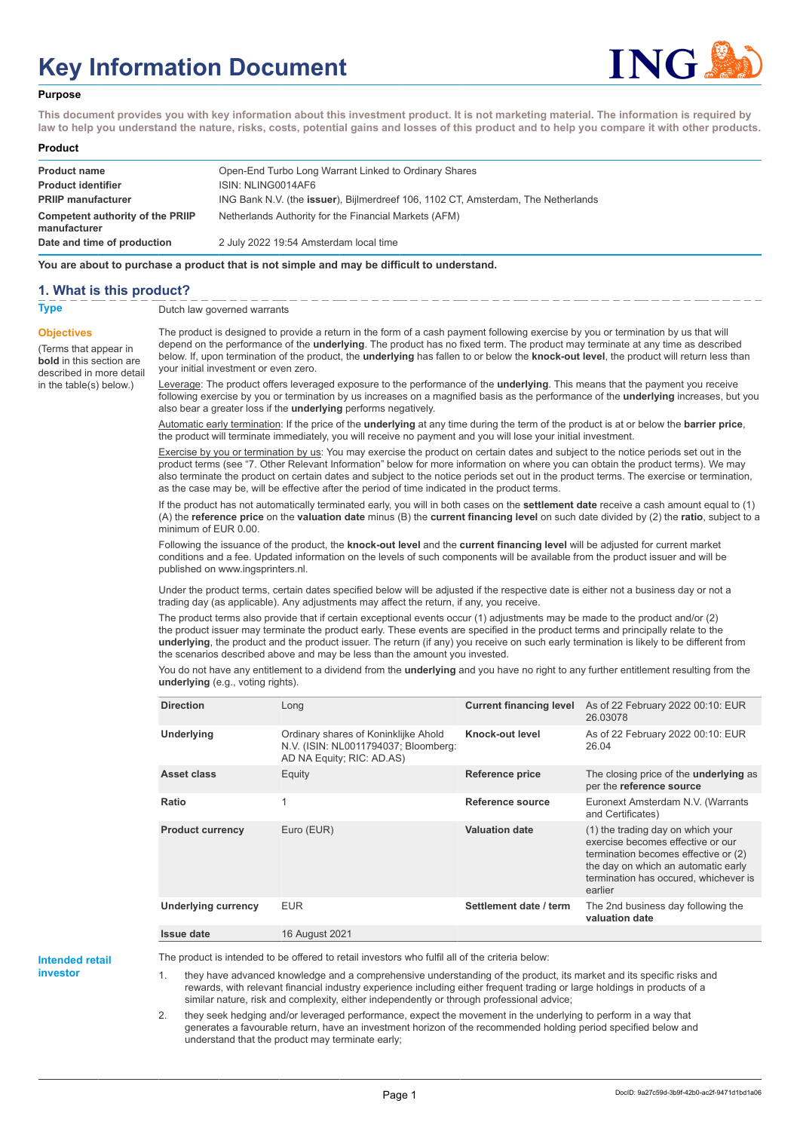# **Key Information Document**



#### **Purpose**

**This document provides you with key information about this investment product. It is not marketing material. The information is required by law to help you understand the nature, risks, costs, potential gains and losses of this product and to help you compare it with other products.**

#### **Product**

| <b>Product name</b><br><b>Product identifier</b> | Open-End Turbo Long Warrant Linked to Ordinary Shares<br>ISIN: NLING0014AF6               |
|--------------------------------------------------|-------------------------------------------------------------------------------------------|
| <b>PRIIP manufacturer</b>                        | ING Bank N.V. (the <b>issuer</b> ), Bijlmerdreef 106, 1102 CT, Amsterdam, The Netherlands |
| Competent authority of the PRIIP<br>manufacturer | Netherlands Authority for the Financial Markets (AFM)                                     |
| Date and time of production                      | 2 July 2022 19:54 Amsterdam local time                                                    |

**You are about to purchase a product that is not simple and may be difficult to understand.**

### **1. What is this product?**

**Objectives**

(Terms that appear in **bold** in this section are

in the table(s) below.)

**Type** Dutch law governed warrants

described in more detail The product is designed to provide a return in the form of a cash payment following exercise by you or termination by us that will depend on the performance of the **underlying**. The product has no fixed term. The product may terminate at any time as described below. If, upon termination of the product, the **underlying** has fallen to or below the **knock-out level**, the product will return less than your initial investment or even zero.

> Leverage: The product offers leveraged exposure to the performance of the **underlying**. This means that the payment you receive following exercise by you or termination by us increases on a magnified basis as the performance of the **underlying** increases, but you also bear a greater loss if the **underlying** performs negatively.

Automatic early termination: If the price of the **underlying** at any time during the term of the product is at or below the **barrier price**, the product will terminate immediately, you will receive no payment and you will lose your initial investment.

Exercise by you or termination by us: You may exercise the product on certain dates and subject to the notice periods set out in the product terms (see "7. Other Relevant Information" below for more information on where you can obtain the product terms). We may also terminate the product on certain dates and subject to the notice periods set out in the product terms. The exercise or termination, as the case may be, will be effective after the period of time indicated in the product terms.

If the product has not automatically terminated early, you will in both cases on the **settlement date** receive a cash amount equal to (1) (A) the **reference price** on the **valuation date** minus (B) the **current financing level** on such date divided by (2) the **ratio**, subject to a minimum of EUR 0.00.

Following the issuance of the product, the **knock-out level** and the **current financing level** will be adjusted for current market conditions and a fee. Updated information on the levels of such components will be available from the product issuer and will be published on www.ingsprinters.nl.

Under the product terms, certain dates specified below will be adjusted if the respective date is either not a business day or not a trading day (as applicable). Any adjustments may affect the return, if any, you receive.

The product terms also provide that if certain exceptional events occur (1) adjustments may be made to the product and/or (2) the product issuer may terminate the product early. These events are specified in the product terms and principally relate to the **underlying**, the product and the product issuer. The return (if any) you receive on such early termination is likely to be different from the scenarios described above and may be less than the amount you invested.

You do not have any entitlement to a dividend from the **underlying** and you have no right to any further entitlement resulting from the **underlying** (e.g., voting rights).

| <b>Direction</b>           | Long                                                                                                      | <b>Current financing level</b> | As of 22 February 2022 00:10: EUR<br>26.03078                                                                                                                                                             |
|----------------------------|-----------------------------------------------------------------------------------------------------------|--------------------------------|-----------------------------------------------------------------------------------------------------------------------------------------------------------------------------------------------------------|
| Underlying                 | Ordinary shares of Koninklijke Ahold<br>N.V. (ISIN: NL0011794037; Bloomberg:<br>AD NA Equity; RIC: AD.AS) | Knock-out level                | As of 22 February 2022 00:10: EUR<br>26.04                                                                                                                                                                |
| Asset class                | Equity                                                                                                    | <b>Reference price</b>         | The closing price of the <b>underlying</b> as<br>per the reference source                                                                                                                                 |
| Ratio                      | 1                                                                                                         | Reference source               | Euronext Amsterdam N.V. (Warrants<br>and Certificates)                                                                                                                                                    |
| <b>Product currency</b>    | Euro (EUR)                                                                                                | <b>Valuation date</b>          | (1) the trading day on which your<br>exercise becomes effective or our<br>termination becomes effective or (2)<br>the day on which an automatic early<br>termination has occured, whichever is<br>earlier |
| <b>Underlying currency</b> | <b>EUR</b>                                                                                                | Settlement date / term         | The 2nd business day following the<br>valuation date                                                                                                                                                      |
| Issue date                 | 16 August 2021                                                                                            |                                |                                                                                                                                                                                                           |

**Intended retail**

**investor**

The product is intended to be offered to retail investors who fulfil all of the criteria below:

1. they have advanced knowledge and a comprehensive understanding of the product, its market and its specific risks and rewards, with relevant financial industry experience including either frequent trading or large holdings in products of a similar nature, risk and complexity, either independently or through professional advice;

2. they seek hedging and/or leveraged performance, expect the movement in the underlying to perform in a way that generates a favourable return, have an investment horizon of the recommended holding period specified below and understand that the product may terminate early;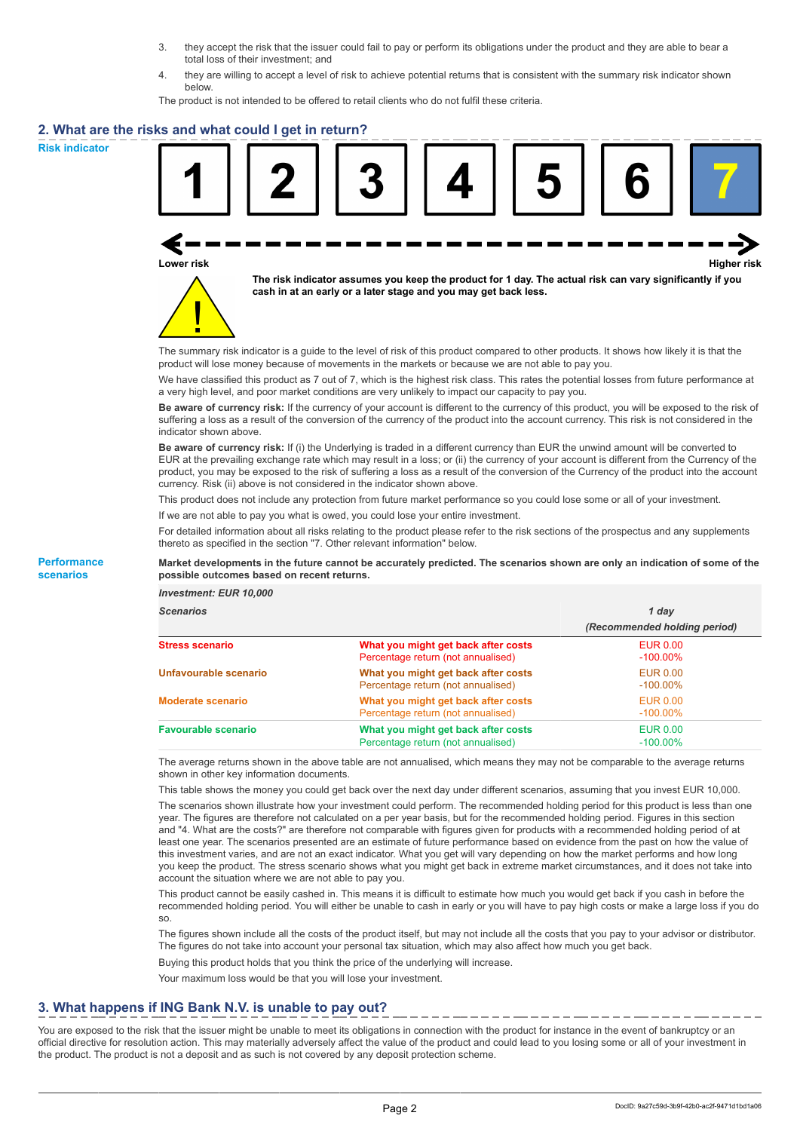- 3. they accept the risk that the issuer could fail to pay or perform its obligations under the product and they are able to bear a total loss of their investment; and
- 4. they are willing to accept a level of risk to achieve potential returns that is consistent with the summary risk indicator shown below.

The product is not intended to be offered to retail clients who do not fulfil these criteria.

### **2. What are the risks and what could I get in return?**

**Risk indicator**

**Performance scenarios**





**The risk indicator assumes you keep the product for 1 day. The actual risk can vary significantly if you cash in at an early or a later stage and you may get back less.**

The summary risk indicator is a guide to the level of risk of this product compared to other products. It shows how likely it is that the product will lose money because of movements in the markets or because we are not able to pay you.

We have classified this product as 7 out of 7, which is the highest risk class. This rates the potential losses from future performance at a very high level, and poor market conditions are very unlikely to impact our capacity to pay you.

**Be aware of currency risk:** If the currency of your account is different to the currency of this product, you will be exposed to the risk of suffering a loss as a result of the conversion of the currency of the product into the account currency. This risk is not considered in the indicator shown above.

**Be aware of currency risk:** If (i) the Underlying is traded in a different currency than EUR the unwind amount will be converted to EUR at the prevailing exchange rate which may result in a loss; or (ii) the currency of your account is different from the Currency of the product, you may be exposed to the risk of suffering a loss as a result of the conversion of the Currency of the product into the account currency. Risk (ii) above is not considered in the indicator shown above.

This product does not include any protection from future market performance so you could lose some or all of your investment.

If we are not able to pay you what is owed, you could lose your entire investment.

For detailed information about all risks relating to the product please refer to the risk sections of the prospectus and any supplements thereto as specified in the section "7. Other relevant information" below.

#### **Market developments in the future cannot be accurately predicted. The scenarios shown are only an indication of some of the possible outcomes based on recent returns.**

*Investment: EUR 10,000*

| <b>Scenarios</b>           |                                                                           | 1 dav                          |  |
|----------------------------|---------------------------------------------------------------------------|--------------------------------|--|
|                            |                                                                           | (Recommended holding period)   |  |
| <b>Stress scenario</b>     | What you might get back after costs<br>Percentage return (not annualised) | <b>EUR 0.00</b><br>$-100.00\%$ |  |
| Unfavourable scenario      | What you might get back after costs<br>Percentage return (not annualised) | <b>EUR 0.00</b><br>$-100.00\%$ |  |
| <b>Moderate scenario</b>   | What you might get back after costs<br>Percentage return (not annualised) | EUR 0.00<br>$-100.00\%$        |  |
| <b>Favourable scenario</b> | What you might get back after costs<br>Percentage return (not annualised) | <b>EUR 0.00</b><br>$-100.00\%$ |  |

The average returns shown in the above table are not annualised, which means they may not be comparable to the average returns shown in other key information documents.

This table shows the money you could get back over the next day under different scenarios, assuming that you invest EUR 10,000.

The scenarios shown illustrate how your investment could perform. The recommended holding period for this product is less than one year. The figures are therefore not calculated on a per year basis, but for the recommended holding period. Figures in this section and "4. What are the costs?" are therefore not comparable with figures given for products with a recommended holding period of at least one year. The scenarios presented are an estimate of future performance based on evidence from the past on how the value of this investment varies, and are not an exact indicator. What you get will vary depending on how the market performs and how long you keep the product. The stress scenario shows what you might get back in extreme market circumstances, and it does not take into account the situation where we are not able to pay you.

This product cannot be easily cashed in. This means it is difficult to estimate how much you would get back if you cash in before the recommended holding period. You will either be unable to cash in early or you will have to pay high costs or make a large loss if you do so.

The figures shown include all the costs of the product itself, but may not include all the costs that you pay to your advisor or distributor. The figures do not take into account your personal tax situation, which may also affect how much you get back.

Buying this product holds that you think the price of the underlying will increase.

Your maximum loss would be that you will lose your investment.

## **3. What happens if ING Bank N.V. is unable to pay out?**

You are exposed to the risk that the issuer might be unable to meet its obligations in connection with the product for instance in the event of bankruptcy or an official directive for resolution action. This may materially adversely affect the value of the product and could lead to you losing some or all of your investment in the product. The product is not a deposit and as such is not covered by any deposit protection scheme.